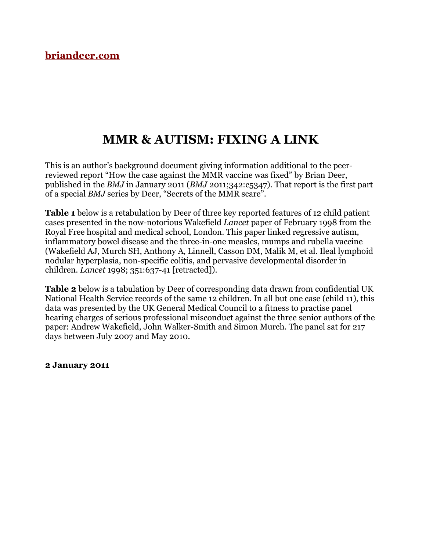# **MMR & AUTISM: FIXING A LINK**

This is an author's background document giving information additional to the peerreviewed report "How the case against the MMR vaccine was fixed" by Brian Deer, published in the *BMJ* in January 2011 (*BMJ* 2011;342:c5347). That report is the first part of a special *BMJ* series by Deer, "Secrets of the MMR scare".

**Table 1** below is a retabulation by Deer of three key reported features of 12 child patient cases presented in the now-notorious Wakefield *Lancet* paper of February 1998 from the Royal Free hospital and medical school, London. This paper linked regressive autism, inflammatory bowel disease and the three-in-one measles, mumps and rubella vaccine (Wakefield AJ, Murch SH, Anthony A, Linnell, Casson DM, Malik M, et al. Ileal lymphoid nodular hyperplasia, non-specific colitis, and pervasive developmental disorder in children. *Lancet* 1998; 351:637-41 [retracted]).

**Table 2** below is a tabulation by Deer of corresponding data drawn from confidential UK National Health Service records of the same 12 children. In all but one case (child 11), this data was presented by the UK General Medical Council to a fitness to practise panel hearing charges of serious professional misconduct against the three senior authors of the paper: Andrew Wakefield, John Walker-Smith and Simon Murch. The panel sat for 217 days between July 2007 and May 2010.

**2 January 2011**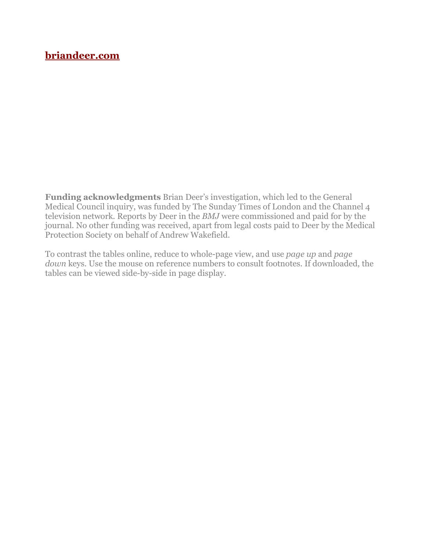**Funding acknowledgments** Brian Deer's investigation, which led to the General Medical Council inquiry, was funded by The Sunday Times of London and the Channel 4 television network. Reports by Deer in the *BMJ* were commissioned and paid for by the journal. No other funding was received, apart from legal costs paid to Deer by the Medical Protection Society on behalf of Andrew Wakefield.

To contrast the tables online, reduce to whole-page view, and use *page up* and *page down* keys. Use the mouse on reference numbers to consult footnotes. If downloaded, the tables can be viewed side-by-side in page display.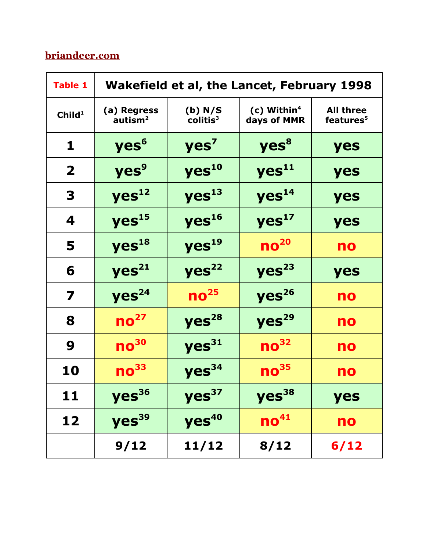| <b>Table 1</b>     | Wakefield et al, the Lancet, February 1998 |                                  |                                          |                                           |  |
|--------------------|--------------------------------------------|----------------------------------|------------------------------------------|-------------------------------------------|--|
| Child <sup>1</sup> | (a) Regress<br>autism <sup>2</sup>         | (b) N/S<br>collitis <sup>3</sup> | $(c)$ Within <sup>4</sup><br>days of MMR | <b>All three</b><br>features <sup>5</sup> |  |
| 1                  | yes <sup>6</sup>                           | yes <sup>7</sup>                 | yes <sup>8</sup>                         | yes                                       |  |
| $\mathbf{2}$       | yes <sup>9</sup>                           | yes <sup>10</sup>                | yes <sup>11</sup>                        | yes                                       |  |
| 3                  | yes <sup>12</sup>                          | yes <sup>13</sup>                | yes <sup>14</sup>                        | yes                                       |  |
| 4                  | yes <sup>15</sup>                          | yes <sup>16</sup>                | yes <sup>17</sup>                        | yes                                       |  |
| 5                  | yes <sup>18</sup>                          | yes <sup>19</sup>                | no <sup>20</sup>                         | no                                        |  |
| 6                  | Yes <sup>21</sup>                          | Yes <sup>22</sup>                | Yes <sup>23</sup>                        | yes                                       |  |
| 7                  | Yes <sup>24</sup>                          | no <sup>25</sup>                 | yes <sup>26</sup>                        | no                                        |  |
| 8                  | $\mathsf{no}^\mathsf{27}$                  | Yes <sup>28</sup>                | yes <sup>29</sup>                        | no                                        |  |
| 9                  | $\mathbf{no}^{\mathbf{30}}$                | Yes <sup>31</sup>                | $\mathbf{no}^{32}$                       | no                                        |  |
| 10                 | $\mathbf{no}^{33}$                         | yes <sup>34</sup>                | $\mathbf{no}^{35}$                       | no                                        |  |
| 11                 | yes <sup>36</sup>                          | yes <sup>37</sup>                | yes <sup>38</sup>                        | yes                                       |  |
| 12                 | yes <sup>39</sup>                          | yes <sup>40</sup>                | no <sup>41</sup>                         | no                                        |  |
|                    | 9/12                                       | 11/12                            | 8/12                                     | 6/12                                      |  |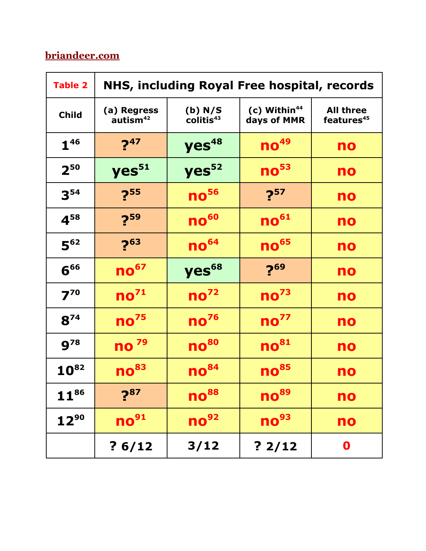| <b>Table 2</b> | NHS, including Royal Free hospital, records |                                   |                                           |                                            |  |
|----------------|---------------------------------------------|-----------------------------------|-------------------------------------------|--------------------------------------------|--|
| <b>Child</b>   | (a) Regress<br>autism <sup>42</sup>         | (b) N/S<br>collitis <sup>43</sup> | $(c)$ Within <sup>44</sup><br>days of MMR | <b>All three</b><br>features <sup>45</sup> |  |
| ${\bf 1}^{46}$ | $2^{47}$                                    | yes <sup>48</sup>                 | $no49$                                    | no                                         |  |
| $2^{50}$       | yes <sup>51</sup>                           | yes <sup>52</sup>                 | $\mathsf{no}^{\mathsf{53}}$               | no                                         |  |
| $3^{54}$       | $2^{55}$                                    | $no56$                            | $2^{57}$                                  | no                                         |  |
| $4^{58}$       | $2^{59}$                                    | $no60$                            | $\mathsf{no}^\mathsf{61}$                 | no                                         |  |
| $5^{62}$       | $2^{63}$                                    | $no64$                            | $\mathbf{no}^{\mathbf{65}}$               | no                                         |  |
| $6^{66}$       | $\mathbf{no}^{\mathrm{67}}$                 | yes <sup>68</sup>                 | $2^{69}$                                  | no                                         |  |
| $7^{70}$       | $\mathsf{no}^{\mathsf{71}}$                 | no <sup>72</sup>                  | $\mathsf{no}^\mathsf{73}$                 | no                                         |  |
| $8^{74}$       | no <sup>75</sup>                            | no <sup>76</sup>                  | no <sup>77</sup>                          | no                                         |  |
| $9^{78}$       | <b>no</b> <sub>79</sub>                     | no <sup>80</sup>                  | $\mathbf{no}^{\mathrm{81}}$               | no                                         |  |
| $10^{82}$      | $\mathbf{no}^{\mathbf{83}}$                 | $\mathsf{no}^\mathsf{84}$         | no <sup>85</sup>                          | no                                         |  |
| $11^{86}$      | $7^{87}$                                    | $\mathsf{no}^\mathsf{88}$         | $\mathsf{no}^{\mathsf{89}}$               | no                                         |  |
| $12^{90}$      | $\mathbf{no}^{\mathbf{91}}$                 | no <sup>92</sup>                  | $\mathbf{no}^{93}$                        | no                                         |  |
|                | ? 6/12                                      | 3/12                              | ?2/12                                     | 0                                          |  |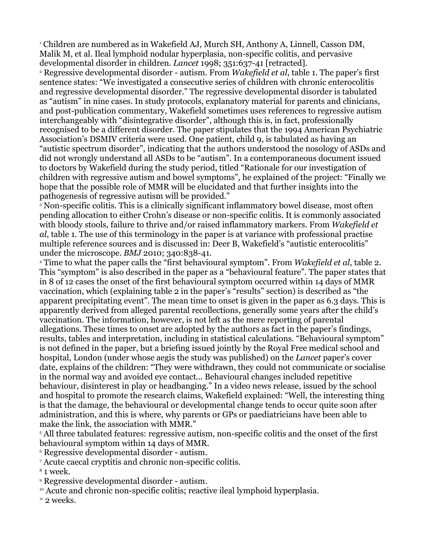<span id="page-4-0"></span>1 Children are numbered as in Wakefield AJ, Murch SH, Anthony A, Linnell, Casson DM, Malik M, et al. Ileal lymphoid nodular hyperplasia, non-specific colitis, and pervasive developmental disorder in children. *Lancet* 1998; 351:637-41 [retracted].

<span id="page-4-1"></span>2 Regressive developmental disorder - autism. From *Wakefield et al*, table 1. The paper's first sentence states: "We investigated a consecutive series of children with chronic enterocolitis and regressive developmental disorder." The regressive developmental disorder is tabulated as "autism" in nine cases. In study protocols, explanatory material for parents and clinicians, and post-publication commentary, Wakefield sometimes uses references to regressive autism interchangeably with "disintegrative disorder", although this is, in fact, professionally recognised to be a different disorder. The paper stipulates that the 1994 American Psychiatric Association's DSMIV criteria were used. One patient, child 9, is tabulated as having an "autistic spectrum disorder", indicating that the authors understood the nosology of ASDs and did not wrongly understand all ASDs to be "autism". In a contemporaneous document issued to doctors by Wakefield during the study period, titled "Rationale for our investigation of children with regressive autism and bowel symptoms", he explained of the project: "Finally we hope that the possible role of MMR will be elucidated and that further insights into the pathogenesis of regressive autism will be provided."

<span id="page-4-2"></span>3 Non-specific colitis. This is a clinically significant inflammatory bowel disease, most often pending allocation to either Crohn's disease or non-specific colitis. It is commonly associated with bloody stools, failure to thrive and/or raised inflammatory markers. From *Wakefield et al*, table 1. The use of this terminology in the paper is at variance with professional practise multiple reference sources and is discussed in: Deer B, Wakefield's "autistic enterocolitis" under the microscope. *BMJ* 2010; 340:838-41.

<span id="page-4-3"></span>4 Time to what the paper calls the "first behavioural symptom". From *Wakefield et al*, table 2. This "symptom" is also described in the paper as a "behavioural feature". The paper states that in 8 of 12 cases the onset of the first behavioural symptom occurred within 14 days of MMR vaccination, which (explaining table 2 in the paper's "results" section) is described as "the apparent precipitating event". The mean time to onset is given in the paper as 6.3 days. This is apparently derived from alleged parental recollections, generally some years after the child's vaccination. The information, however, is not left as the mere reporting of parental allegations. These times to onset are adopted by the authors as fact in the paper's findings, results, tables and interpretation, including in statistical calculations. "Behavioural symptom" is not defined in the paper, but a briefing issued jointly by the Royal Free medical school and hospital, London (under whose aegis the study was published) on the *Lancet* paper's cover date, explains of the children: "They were withdrawn, they could not communicate or socialise in the normal way and avoided eye contact... Behavioural changes included repetitive behaviour, disinterest in play or headbanging." In a video news release, issued by the school and hospital to promote the research claims, Wakefield explained: "Well, the interesting thing is that the damage, the behavioural or developmental change tends to occur quite soon after administration, and this is where, why parents or GPs or paediatricians have been able to make the link, the association with MMR."

<span id="page-4-4"></span>5 All three tabulated features: regressive autism, non-specific colitis and the onset of the first behavioural symptom within 14 days of MMR.

<span id="page-4-5"></span>6 Regressive developmental disorder - autism.

<span id="page-4-6"></span>7 Acute caecal cryptitis and chronic non-specific colitis.

<span id="page-4-7"></span>8 1 week.

<span id="page-4-8"></span>9 Regressive developmental disorder - autism.

<span id="page-4-9"></span><sup>10</sup> Acute and chronic non-specific colitis; reactive ileal lymphoid hyperplasia.

<span id="page-4-10"></span> $11$  2 weeks.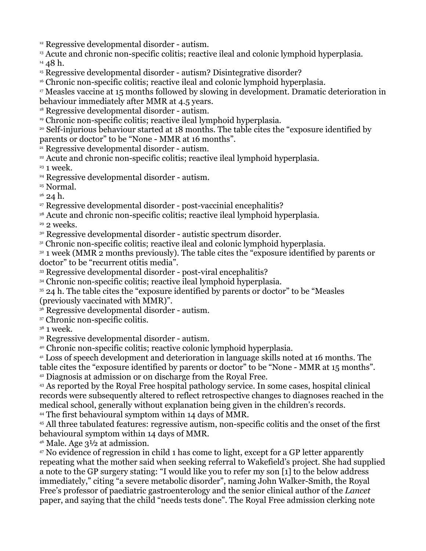<span id="page-5-0"></span><sup>12</sup> Regressive developmental disorder - autism.

<span id="page-5-2"></span><span id="page-5-1"></span><sup>13</sup> Acute and chronic non-specific colitis; reactive ileal and colonic lymphoid hyperplasia. <sup>14</sup> 48 h.

<span id="page-5-3"></span><sup>15</sup> Regressive developmental disorder - autism? Disintegrative disorder?

<span id="page-5-4"></span><sup>16</sup> Chronic non-specific colitis; reactive ileal and colonic lymphoid hyperplasia.

<span id="page-5-5"></span><sup>17</sup> Measles vaccine at 15 months followed by slowing in development. Dramatic deterioration in behaviour immediately after MMR at 4.5 years.

<span id="page-5-6"></span><sup>18</sup> Regressive developmental disorder - autism.

<span id="page-5-7"></span><sup>19</sup> Chronic non-specific colitis; reactive ileal lymphoid hyperplasia.

<span id="page-5-8"></span><sup>20</sup> Self-injurious behaviour started at 18 months. The table cites the "exposure identified by parents or doctor" to be "None - MMR at 16 months".

<span id="page-5-9"></span><sup>21</sup> Regressive developmental disorder - autism.

<span id="page-5-10"></span><sup>22</sup> Acute and chronic non-specific colitis; reactive ileal lymphoid hyperplasia.

<span id="page-5-11"></span> $23$  1 week.

<span id="page-5-12"></span><sup>24</sup> Regressive developmental disorder - autism.

<span id="page-5-13"></span><sup>25</sup> Normal.

<span id="page-5-14"></span> $26$  24 h.

<span id="page-5-15"></span><sup>27</sup> Regressive developmental disorder - post-vaccinial encephalitis?

<span id="page-5-16"></span><sup>28</sup> Acute and chronic non-specific colitis; reactive ileal lymphoid hyperplasia.

<span id="page-5-17"></span> $29$  2 weeks.

<span id="page-5-18"></span><sup>30</sup> Regressive developmental disorder - autistic spectrum disorder.

<span id="page-5-19"></span><sup>31</sup> Chronic non-specific colitis; reactive ileal and colonic lymphoid hyperplasia.

<span id="page-5-20"></span><sup>32</sup> 1 week (MMR 2 months previously). The table cites the "exposure identified by parents or doctor" to be "recurrent otitis media".

<span id="page-5-21"></span><sup>33</sup> Regressive developmental disorder - post-viral encephalitis?

<span id="page-5-22"></span><sup>34</sup> Chronic non-specific colitis; reactive ileal lymphoid hyperplasia.

<span id="page-5-23"></span><sup>35</sup> 24 h. The table cites the "exposure identified by parents or doctor" to be "Measles" (previously vaccinated with MMR)".

<span id="page-5-24"></span><sup>36</sup> Regressive developmental disorder - autism.

<span id="page-5-25"></span><sup>37</sup> Chronic non-specific colitis.

<span id="page-5-26"></span><sup>38</sup> 1 week.

<span id="page-5-27"></span><sup>39</sup> Regressive developmental disorder - autism.

<span id="page-5-28"></span><sup>40</sup> Chronic non-specific colitis; reactive colonic lymphoid hyperplasia.

<span id="page-5-29"></span><sup>41</sup> Loss of speech development and deterioration in language skills noted at 16 months. The

table cites the "exposure identified by parents or doctor" to be "None - MMR at 15 months". <sup>42</sup> Diagnosis at admission or on discharge from the Royal Free.

<span id="page-5-31"></span><span id="page-5-30"></span><sup>43</sup> As reported by the Royal Free hospital pathology service. In some cases, hospital clinical records were subsequently altered to reflect retrospective changes to diagnoses reached in the medical school, generally without explanation being given in the children's records.

<span id="page-5-32"></span><sup>44</sup> The first behavioural symptom within 14 days of MMR.

<span id="page-5-33"></span><sup>45</sup> All three tabulated features: regressive autism, non-specific colitis and the onset of the first behavioural symptom within 14 days of MMR.

<span id="page-5-34"></span> $46$  Male. Age  $3\frac{1}{2}$  at admission.

<span id="page-5-35"></span><sup>47</sup> No evidence of regression in child 1 has come to light, except for a GP letter apparently repeating what the mother said when seeking referral to Wakefield's project. She had supplied a note to the GP surgery stating: "I would like you to refer my son [1] to the below address immediately," citing "a severe metabolic disorder", naming John Walker-Smith, the Royal Free's professor of paediatric gastroenterology and the senior clinical author of the *Lancet* paper, and saying that the child "needs tests done". The Royal Free admission clerking note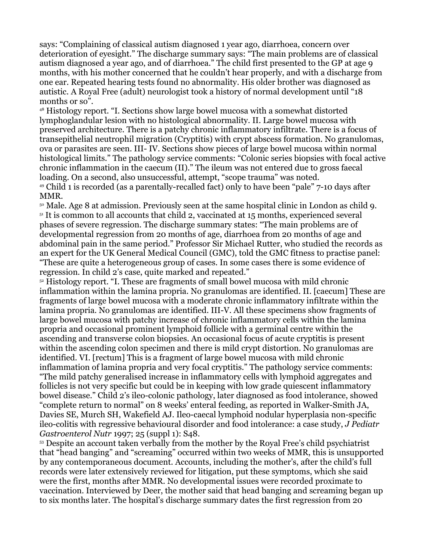says: "Complaining of classical autism diagnosed 1 year ago, diarrhoea, concern over deterioration of eyesight." The discharge summary says: "The main problems are of classical autism diagnosed a year ago, and of diarrhoea." The child first presented to the GP at age 9 months, with his mother concerned that he couldn't hear properly, and with a discharge from one ear. Repeated hearing tests found no abnormality. His older brother was diagnosed as autistic. A Royal Free (adult) neurologist took a history of normal development until "18 months or so".

<span id="page-6-0"></span><sup>48</sup> Histology report. "I. Sections show large bowel mucosa with a somewhat distorted lymphoglandular lesion with no histological abnormality. II. Large bowel mucosa with preserved architecture. There is a patchy chronic inflammatory infiltrate. There is a focus of transepithelial neutrophil migration (Cryptitis) with crypt abscess formation. No granulomas, ova or parasites are seen. III- IV. Sections show pieces of large bowel mucosa within normal histological limits." The pathology service comments: "Colonic series biopsies with focal active chronic inflammation in the caecum (II)." The ileum was not entered due to gross faecal loading. On a second, also unsuccessful, attempt, "scope trauma" was noted.

<span id="page-6-1"></span><sup>49</sup> Child 1 is recorded (as a parentally-recalled fact) only to have been "pale" 7-10 days after MMR.

<span id="page-6-3"></span><span id="page-6-2"></span><sup>50</sup> Male. Age 8 at admission. Previously seen at the same hospital clinic in London as child 9. <sup>51</sup> It is common to all accounts that child 2, vaccinated at 15 months, experienced several phases of severe regression. The discharge summary states: "The main problems are of developmental regression from 20 months of age, diarrhoea from 20 months of age and abdominal pain in the same period." Professor Sir Michael Rutter, who studied the records as an expert for the UK General Medical Council (GMC), told the GMC fitness to practise panel: "These are quite a heterogeneous group of cases. In some cases there is some evidence of regression. In child 2's case, quite marked and repeated."

<span id="page-6-4"></span><sup>52</sup> Histology report. "I. These are fragments of small bowel mucosa with mild chronic inflammation within the lamina propria. No granulomas are identified. II. [caecum] These are fragments of large bowel mucosa with a moderate chronic inflammatory infiltrate within the lamina propria. No granulomas are identified. III-V. All these specimens show fragments of large bowel mucosa with patchy increase of chronic inflammatory cells within the lamina propria and occasional prominent lymphoid follicle with a germinal centre within the ascending and transverse colon biopsies. An occasional focus of acute cryptitis is present within the ascending colon specimen and there is mild crypt distortion. No granulomas are identified. VI. [rectum] This is a fragment of large bowel mucosa with mild chronic inflammation of lamina propria and very focal cryptitis." The pathology service comments: "The mild patchy generalised increase in inflammatory cells with lymphoid aggregates and follicles is not very specific but could be in keeping with low grade quiescent inflammatory bowel disease." Child 2's ileo-colonic pathology, later diagnosed as food intolerance, showed "complete return to normal" on 8 weeks' enteral feeding, as reported in Walker-Smith JA, Davies SE, Murch SH, Wakefield AJ. Ileo-caecal lymphoid nodular hyperplasia non-specific ileo-colitis with regressive behavioural disorder and food intolerance: a case study, *J Pediatr Gastroenterol Nutr* 1997; 25 (suppl 1): S48.

<span id="page-6-5"></span><sup>53</sup> Despite an account taken verbally from the mother by the Royal Free's child psychiatrist that "head banging" and "screaming" occurred within two weeks of MMR, this is unsupported by any contemporaneous document. Accounts, including the mother's, after the child's full records were later extensively reviewed for litigation, put these symptoms, which she said were the first, months after MMR. No developmental issues were recorded proximate to vaccination. Interviewed by Deer, the mother said that head banging and screaming began up to six months later. The hospital's discharge summary dates the first regression from 20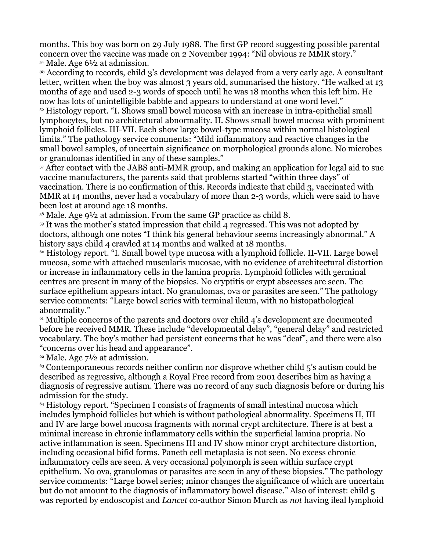months. This boy was born on 29 July 1988. The first GP record suggesting possible parental concern over the vaccine was made on 2 November 1994: "Nil obvious re MMR story." <sup>54</sup> Male. Age 6½ at admission.

<span id="page-7-1"></span><span id="page-7-0"></span><sup>55</sup> According to records, child 3's development was delayed from a very early age. A consultant letter, written when the boy was almost 3 years old, summarised the history. "He walked at 13 months of age and used 2-3 words of speech until he was 18 months when this left him. He now has lots of unintelligible babble and appears to understand at one word level."

<span id="page-7-2"></span><sup>56</sup> Histology report. "I. Shows small bowel mucosa with an increase in intra-epithelial small lymphocytes, but no architectural abnormality. II. Shows small bowel mucosa with prominent lymphoid follicles. III-VII. Each show large bowel-type mucosa within normal histological limits." The pathology service comments: "Mild inflammatory and reactive changes in the small bowel samples, of uncertain significance on morphological grounds alone. No microbes or granulomas identified in any of these samples."

<span id="page-7-3"></span><sup>57</sup> After contact with the JABS anti-MMR group, and making an application for legal aid to sue vaccine manufacturers, the parents said that problems started "within three days" of vaccination. There is no confirmation of this. Records indicate that child 3, vaccinated with MMR at 14 months, never had a vocabulary of more than 2-3 words, which were said to have been lost at around age 18 months.

<span id="page-7-4"></span><sup>58</sup> Male. Age 9½ at admission. From the same GP practice as child 8.

<span id="page-7-5"></span><sup>59</sup> It was the mother's stated impression that child 4 regressed. This was not adopted by doctors, although one notes "I think his general behaviour seems increasingly abnormal." A history says child 4 crawled at 14 months and walked at 18 months.

<span id="page-7-6"></span><sup>60</sup> Histology report. "I. Small bowel type mucosa with a lymphoid follicle. II-VII. Large bowel mucosa, some with attached muscularis mucosae, with no evidence of architectural distortion or increase in inflammatory cells in the lamina propria. Lymphoid follicles with germinal centres are present in many of the biopsies. No cryptitis or crypt abscesses are seen. The surface epithelium appears intact. No granulomas, ova or parasites are seen." The pathology service comments: "Large bowel series with terminal ileum, with no histopathological abnormality."

<span id="page-7-7"></span><sup>61</sup> Multiple concerns of the parents and doctors over child 4's development are documented before he received MMR. These include "developmental delay", "general delay" and restricted vocabulary. The boy's mother had persistent concerns that he was "deaf", and there were also "concerns over his head and appearance".

<span id="page-7-8"></span> $62$  Male. Age  $7\frac{1}{2}$  at admission.

<span id="page-7-9"></span><sup>63</sup> Contemporaneous records neither confirm nor disprove whether child 5's autism could be described as regressive, although a Royal Free record from 2001 describes him as having a diagnosis of regressive autism. There was no record of any such diagnosis before or during his admission for the study.

<span id="page-7-10"></span><sup>64</sup> Histology report. "Specimen I consists of fragments of small intestinal mucosa which includes lymphoid follicles but which is without pathological abnormality. Specimens II, III and IV are large bowel mucosa fragments with normal crypt architecture. There is at best a minimal increase in chronic inflammatory cells within the superficial lamina propria. No active inflammation is seen. Specimens III and IV show minor crypt architecture distortion, including occasional bifid forms. Paneth cell metaplasia is not seen. No excess chronic inflammatory cells are seen. A very occasional polymorph is seen within surface crypt epithelium. No ova, granulomas or parasites are seen in any of these biopsies." The pathology service comments: "Large bowel series; minor changes the significance of which are uncertain but do not amount to the diagnosis of inflammatory bowel disease." Also of interest: child 5 was reported by endoscopist and *Lancet* co-author Simon Murch as *not* having ileal lymphoid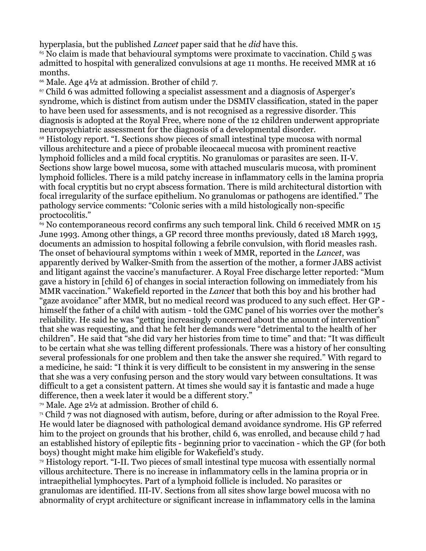hyperplasia, but the published *Lancet* paper said that he *did* have this.

<span id="page-8-0"></span> $65$  No claim is made that behavioural symptoms were proximate to vaccination. Child  $5$  was admitted to hospital with generalized convulsions at age 11 months. He received MMR at 16 months.

<span id="page-8-1"></span> $66$  Male. Age 4½ at admission. Brother of child 7.

<span id="page-8-2"></span><sup>67</sup> Child 6 was admitted following a specialist assessment and a diagnosis of Asperger's syndrome, which is distinct from autism under the DSMIV classification, stated in the paper to have been used for assessments, and is not recognised as a regressive disorder. This diagnosis is adopted at the Royal Free, where none of the 12 children underwent appropriate neuropsychiatric assessment for the diagnosis of a developmental disorder.

<span id="page-8-3"></span><sup>68</sup> Histology report. "I. Sections show pieces of small intestinal type mucosa with normal villous architecture and a piece of probable ileocaecal mucosa with prominent reactive lymphoid follicles and a mild focal cryptitis. No granulomas or parasites are seen. II-V. Sections show large bowel mucosa, some with attached muscularis mucosa, with prominent lymphoid follicles. There is a mild patchy increase in inflammatory cells in the lamina propria with focal cryptitis but no crypt abscess formation. There is mild architectural distortion with focal irregularity of the surface epithelium. No granulomas or pathogens are identified." The pathology service comments: "Colonic series with a mild histologically non-specific proctocolitis."

<span id="page-8-4"></span><sup>69</sup> No contemporaneous record confirms any such temporal link. Child 6 received MMR on 15 June 1993. Among other things, a GP record three months previously, dated 18 March 1993, documents an admission to hospital following a febrile convulsion, with florid measles rash. The onset of behavioural symptoms within 1 week of MMR, reported in the *Lancet*, was apparently derived by Walker-Smith from the assertion of the mother, a former JABS activist and litigant against the vaccine's manufacturer. A Royal Free discharge letter reported: "Mum gave a history in [child 6] of changes in social interaction following on immediately from his MMR vaccination." Wakefield reported in the *Lancet* that both this boy and his brother had "gaze avoidance" after MMR, but no medical record was produced to any such effect. Her GP himself the father of a child with autism - told the GMC panel of his worries over the mother's reliability. He said he was "getting increasingly concerned about the amount of intervention" that she was requesting, and that he felt her demands were "detrimental to the health of her children". He said that "she did vary her histories from time to time" and that: "It was difficult to be certain what she was telling different professionals. There was a history of her consulting several professionals for one problem and then take the answer she required." With regard to a medicine, he said: "I think it is very difficult to be consistent in my answering in the sense that she was a very confusing person and the story would vary between consultations. It was difficult to a get a consistent pattern. At times she would say it is fantastic and made a huge difference, then a week later it would be a different story."

<span id="page-8-5"></span><sup>70</sup> Male. Age  $2^{1/2}$  at admission. Brother of child 6.

<span id="page-8-6"></span> $\alpha$ <sup>1</sup> Child 7 was not diagnosed with autism, before, during or after admission to the Royal Free. He would later be diagnosed with pathological demand avoidance syndrome. His GP referred him to the project on grounds that his brother, child 6, was enrolled, and because child 7 had an established history of epileptic fits - beginning prior to vaccination - which the GP (for both boys) thought might make him eligible for Wakefield's study.

<span id="page-8-7"></span><sup>72</sup> Histology report. "I-II. Two pieces of small intestinal type mucosa with essentially normal villous architecture. There is no increase in inflammatory cells in the lamina propria or in intraepithelial lymphocytes. Part of a lymphoid follicle is included. No parasites or granulomas are identified. III-IV. Sections from all sites show large bowel mucosa with no abnormality of crypt architecture or significant increase in inflammatory cells in the lamina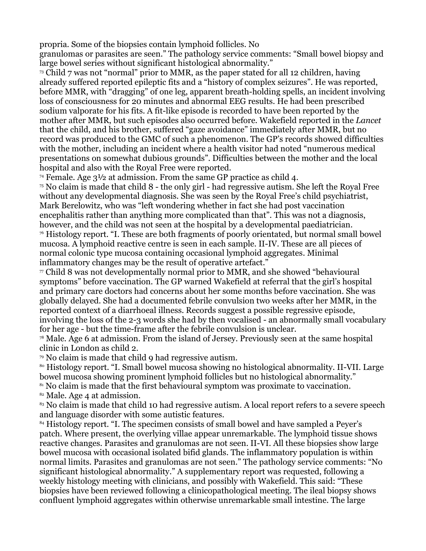propria. Some of the biopsies contain lymphoid follicles. No

granulomas or parasites are seen." The pathology service comments: "Small bowel biopsy and large bowel series without significant histological abnormality."

<span id="page-9-0"></span> $73$  Child 7 was not "normal" prior to MMR, as the paper stated for all 12 children, having already suffered reported epileptic fits and a "history of complex seizures". He was reported, before MMR, with "dragging" of one leg, apparent breath-holding spells, an incident involving loss of consciousness for 20 minutes and abnormal EEG results. He had been prescribed sodium valporate for his fits. A fit-like episode is recorded to have been reported by the mother after MMR, but such episodes also occurred before. Wakefield reported in the *Lancet* that the child, and his brother, suffered "gaze avoidance" immediately after MMR, but no record was produced to the GMC of such a phenomenon. The GP's records showed difficulties with the mother, including an incident where a health visitor had noted "numerous medical presentations on somewhat dubious grounds". Difficulties between the mother and the local hospital and also with the Royal Free were reported.

<span id="page-9-1"></span><sup>74</sup> Female. Age  $3^{1/2}$  at admission. From the same GP practice as child 4.

<span id="page-9-2"></span> $\frac{75}{10}$  No claim is made that child 8 - the only girl - had regressive autism. She left the Royal Free without any developmental diagnosis. She was seen by the Royal Free's child psychiatrist, Mark Berelowitz, who was "left wondering whether in fact she had post vaccination encephalitis rather than anything more complicated than that". This was not a diagnosis, however, and the child was not seen at the hospital by a developmental paediatrician. <sup>76</sup> Histology report. "I. These are both fragments of poorly orientated, but normal small bowel mucosa. A lymphoid reactive centre is seen in each sample. II-IV. These are all pieces of normal colonic type mucosa containing occasional lymphoid aggregates. Minimal inflammatory changes may be the result of operative artefact."

<span id="page-9-4"></span><span id="page-9-3"></span> $\pi$  Child 8 was not developmentally normal prior to MMR, and she showed "behavioural" symptoms" before vaccination. The GP warned Wakefield at referral that the girl's hospital and primary care doctors had concerns about her some months before vaccination. She was globally delayed. She had a documented febrile convulsion two weeks after her MMR, in the reported context of a diarrhoeal illness. Records suggest a possible regressive episode, involving the loss of the 2-3 words she had by then vocalised - an abnormally small vocabulary for her age - but the time-frame after the febrile convulsion is unclear.

<span id="page-9-5"></span><sup>78</sup> Male. Age 6 at admission. From the island of Jersey. Previously seen at the same hospital clinic in London as child 2.

<span id="page-9-6"></span><sup>79</sup> No claim is made that child 9 had regressive autism.

<span id="page-9-7"></span>80 Histology report. "I. Small bowel mucosa showing no histological abnormality. II-VII. Large bowel mucosa showing prominent lymphoid follicles but no histological abnormality."

<span id="page-9-8"></span><sup>81</sup> No claim is made that the first behavioural symptom was proximate to vaccination.

<span id="page-9-9"></span><sup>82</sup> Male. Age 4 at admission.

<span id="page-9-10"></span><sup>83</sup> No claim is made that child 10 had regressive autism. A local report refers to a severe speech and language disorder with some autistic features.

<span id="page-9-11"></span><sup>84</sup> Histology report. "I. The specimen consists of small bowel and have sampled a Peyer's patch. Where present, the overlying villae appear unremarkable. The lymphoid tissue shows reactive changes. Parasites and granulomas are not seen. II-VI. All these biopsies show large bowel mucosa with occasional isolated bifid glands. The inflammatory population is within normal limits. Parasites and granulomas are not seen." The pathology service comments: "No significant histological abnormality." A supplementary report was requested, following a weekly histology meeting with clinicians, and possibly with Wakefield. This said: "These biopsies have been reviewed following a clinicopathological meeting. The ileal biopsy shows confluent lymphoid aggregates within otherwise unremarkable small intestine. The large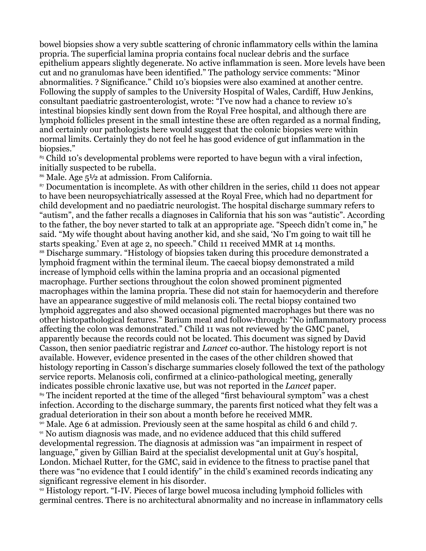bowel biopsies show a very subtle scattering of chronic inflammatory cells within the lamina propria. The superficial lamina propria contains focal nuclear debris and the surface epithelium appears slightly degenerate. No active inflammation is seen. More levels have been cut and no granulomas have been identified." The pathology service comments: "Minor abnormalities. ? Significance." Child 10's biopsies were also examined at another centre. Following the supply of samples to the University Hospital of Wales, Cardiff, Huw Jenkins, consultant paediatric gastroenterologist, wrote: "I've now had a chance to review 10's intestinal biopsies kindly sent down from the Royal Free hospital, and although there are lymphoid follicles present in the small intestine these are often regarded as a normal finding, and certainly our pathologists here would suggest that the colonic biopsies were within normal limits. Certainly they do not feel he has good evidence of gut inflammation in the biopsies."

<span id="page-10-0"></span><sup>85</sup> Child 10's developmental problems were reported to have begun with a viral infection, initially suspected to be rubella.

<span id="page-10-1"></span><sup>86</sup> Male. Age 5½ at admission. From California.

<span id="page-10-3"></span><span id="page-10-2"></span><sup>87</sup> Documentation is incomplete. As with other children in the series, child 11 does not appear to have been neuropsychiatrically assessed at the Royal Free, which had no department for child development and no paediatric neurologist. The hospital discharge summary refers to "autism", and the father recalls a diagnoses in California that his son was "autistic". According to the father, the boy never started to talk at an appropriate age. "Speech didn't come in," he said. "My wife thought about having another kid, and she said, 'No I'm going to wait till he starts speaking.' Even at age 2, no speech." Child 11 received MMR at 14 months. <sup>88</sup> Discharge summary. "Histology of biopsies taken during this procedure demonstrated a lymphoid fragment within the terminal ileum. The caecal biopsy demonstrated a mild increase of lymphoid cells within the lamina propria and an occasional pigmented macrophage. Further sections throughout the colon showed prominent pigmented macrophages within the lamina propria. These did not stain for haemocyderin and therefore have an appearance suggestive of mild melanosis coli. The rectal biopsy contained two lymphoid aggregates and also showed occasional pigmented macrophages but there was no other histopathological features." Barium meal and follow-through: "No inflammatory process affecting the colon was demonstrated." Child 11 was not reviewed by the GMC panel, apparently because the records could not be located. This document was signed by David Casson, then senior paediatric registrar and *Lancet* co-author. The histology report is not available. However, evidence presented in the cases of the other children showed that histology reporting in Casson's discharge summaries closely followed the text of the pathology service reports. Melanosis coli, confirmed at a clinico-pathological meeting, generally indicates possible chronic laxative use, but was not reported in the *Lancet* paper. <sup>89</sup> The incident reported at the time of the alleged "first behavioural symptom" was a chest infection. According to the discharge summary, the parents first noticed what they felt was a gradual deterioration in their son about a month before he received MMR.

<span id="page-10-6"></span><span id="page-10-5"></span><span id="page-10-4"></span><sup>90</sup> Male. Age 6 at admission. Previously seen at the same hospital as child 6 and child 7. <sup>91</sup> No autism diagnosis was made, and no evidence adduced that this child suffered developmental regression. The diagnosis at admission was "an impairment in respect of language," given by Gillian Baird at the specialist developmental unit at Guy's hospital, London. Michael Rutter, for the GMC, said in evidence to the fitness to practise panel that there was "no evidence that I could identify" in the child's examined records indicating any significant regressive element in his disorder.

<span id="page-10-7"></span><sup>92</sup> Histology report. "I-IV. Pieces of large bowel mucosa including lymphoid follicles with germinal centres. There is no architectural abnormality and no increase in inflammatory cells